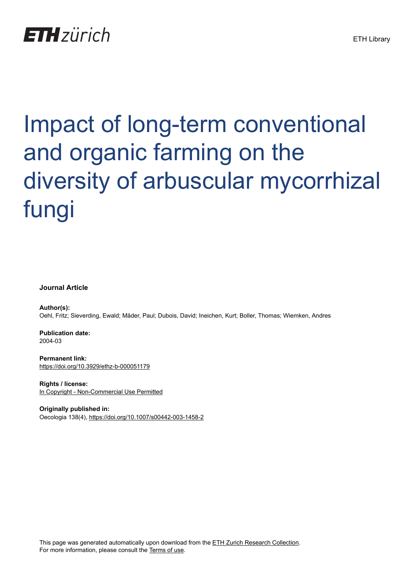## **ETH** zürich

# Impact of long-term conventional and organic farming on the diversity of arbuscular mycorrhizal fungi

#### **Journal Article**

**Author(s):** Oehl, Fritz; Sieverding, Ewald; Mäder, Paul; Dubois, David; Ineichen, Kurt; Boller, Thomas; Wiemken, Andres

**Publication date:** 2004-03

**Permanent link:** <https://doi.org/10.3929/ethz-b-000051179>

**Rights / license:** [In Copyright - Non-Commercial Use Permitted](http://rightsstatements.org/page/InC-NC/1.0/)

**Originally published in:** Oecologia 138(4),<https://doi.org/10.1007/s00442-003-1458-2>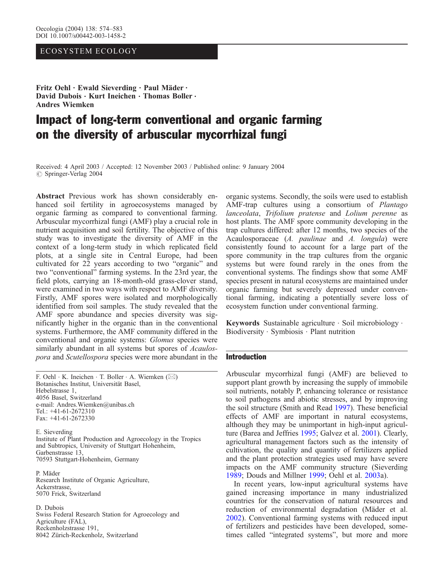#### ECOSYSTEM ECOLOGY

Fritz Oehl . Ewald Sieverding . Paul Mäder . David Dubois · Kurt Ineichen · Thomas Boller · Andres Wiemken

### Impact of long-term conventional and organic farming on the diversity of arbuscular mycorrhizal fungi

Received: 4 April 2003 / Accepted: 12 November 2003 / Published online: 9 January 2004 *#* Springer-Verlag 2004

Abstract Previous work has shown considerably enhanced soil fertility in agroecosystems managed by organic farming as compared to conventional farming. Arbuscular mycorrhizal fungi (AMF) play a crucial role in nutrient acquisition and soil fertility. The objective of this study was to investigate the diversity of AMF in the context of a long-term study in which replicated field plots, at a single site in Central Europe, had been cultivated for 22 years according to two "organic" and two "conventional" farming systems. In the 23rd year, the field plots, carrying an 18-month-old grass-clover stand, were examined in two ways with respect to AMF diversity. Firstly, AMF spores were isolated and morphologically identified from soil samples. The study revealed that the AMF spore abundance and species diversity was significantly higher in the organic than in the conventional systems. Furthermore, the AMF community differed in the conventional and organic systems: Glomus species were similarly abundant in all systems but spores of Acaulospora and Scutellospora species were more abundant in the

F. Oehl . K. Ineichen . T. Boller . A. Wiemken (*\**) Botanisches Institut, Universität Basel, Hebelstrasse 1, 4056 Basel, Switzerland e-mail: Andres.Wiemken@unibas.ch Tel.: +41-61-2672310 Fax: +41-61-2672330

E. Sieverding Institute of Plant Production and Agroecology in the Tropics and Subtropics, University of Stuttgart Hohenheim, Garbenstrasse 13, 70593 Stuttgart-Hohenheim, Germany

P. Mäder Research Institute of Organic Agriculture, Ackerstrasse, 5070 Frick, Switzerland

D. Dubois Swiss Federal Research Station for Agroecology and Agriculture (FAL), Reckenholzstrasse 191, 8042 Zürich-Reckenholz, Switzerland

organic systems. Secondly, the soils were used to establish AMF-trap cultures using a consortium of Plantago lanceolata, Trifolium pratense and Lolium perenne as host plants. The AMF spore community developing in the trap cultures differed: after 12 months, two species of the Acaulosporaceae (A. paulinae and A. longula) were consistently found to account for a large part of the spore community in the trap cultures from the organic systems but were found rarely in the ones from the conventional systems. The findings show that some AMF species present in natural ecosystems are maintained under organic farming but severely depressed under conventional farming, indicating a potentially severe loss of ecosystem function under conventional farming.

Keywords Sustainable agriculture · Soil microbiology · Biodiversity . Symbiosis . Plant nutrition

#### Introduction

Arbuscular mycorrhizal fungi (AMF) are believed to support plant growth by increasing the supply of immobile soil nutrients, notably P, enhancing tolerance or resistance to soil pathogens and abiotic stresses, and by improving the soil structure (Smith and Read [1997\)](#page-10-0). These beneficial effects of AMF are important in natural ecosystems, although they may be unimportant in high-input agriculture (Barea and Jeffries [1995](#page-9-0); Galvez et al. [2001\)](#page-10-0). Clearly, agricultural management factors such as the intensity of cultivation, the quality and quantity of fertilizers applied and the plant protection strategies used may have severe impacts on the AMF community structure (Sieverding [1989](#page-10-0); Douds and Millner [1999](#page-9-0); Oehl et al. [2003](#page-10-0)a).

In recent years, low-input agricultural systems have gained increasing importance in many industrialized countries for the conservation of natural resources and reduction of environmental degradation (Mäder et al. [2002](#page-10-0)). Conventional farming systems with reduced input of fertilizers and pesticides have been developed, sometimes called "integrated systems", but more and more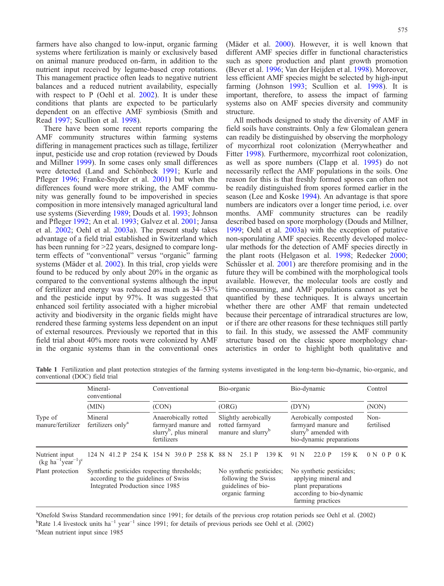farmers have also changed to low-input, organic farming systems where fertilization is mainly or exclusively based on animal manure produced on-farm, in addition to the nutrient input received by legume-based crop rotations. This management practice often leads to negative nutrient balances and a reduced nutrient availability, especially with respect to P (Oehl et al. [2002](#page-10-0)). It is under these conditions that plants are expected to be particularly dependent on an effective AMF symbiosis (Smith and Read [1997;](#page-10-0) Scullion et al. [1998\)](#page-10-0).

There have been some recent reports comparing the AMF community structures within farming systems differing in management practices such as tillage, fertilizer input, pesticide use and crop rotation (reviewed by Douds and Millner [1999](#page-9-0)). In some cases only small differences were detected (Land and Schönbeck [1991;](#page-10-0) Kurle and Pfleger [1996;](#page-10-0) Franke-Snyder et al. [2001\)](#page-10-0) but when the differences found were more striking, the AMF community was generally found to be impoverished in species composition in more intensively managed agricultural land use systems (Sieverding [1989](#page-10-0); Douds et al. [1993](#page-9-0); Johnson and Pfleger [1992](#page-10-0); An et al. [1993](#page-9-0); Galvez et al. [2001](#page-10-0); Jansa et al. [2002](#page-10-0); Oehl et al. [2003](#page-10-0)a). The present study takes advantage of a field trial established in Switzerland which has been running for  $>22$  years, designed to compare longterm effects of "conventional" versus "organic" farming systems (Mäder et al. [2002\)](#page-10-0). In this trial, crop yields were found to be reduced by only about 20% in the organic as compared to the conventional systems although the input of fertilizer and energy was reduced as much as 34–53% and the pesticide input by 97%. It was suggested that enhanced soil fertility associated with a higher microbial activity and biodiversity in the organic fields might have rendered these farming systems less dependent on an input of external resources. Previously we reported that in this field trial about 40% more roots were colonized by AMF in the organic systems than in the conventional ones

(Mäder et al. [2000](#page-10-0)). However, it is well known that different AMF species differ in functional characteristics such as spore production and plant growth promotion (Bever et al. [1996](#page-9-0); Van der Heijden et al. [1998](#page-10-0)). Moreover, less efficient AMF species might be selected by high-input farming (Johnson [1993;](#page-10-0) Scullion et al. [1998\)](#page-10-0). It is important, therefore, to assess the impact of farming systems also on AMF species diversity and community structure.

All methods designed to study the diversity of AMF in field soils have constraints. Only a few Glomalean genera can readily be distinguished by observing the morphology of mycorrhizal root colonization (Merrywheather and Fitter [1998](#page-10-0)). Furthermore, mycorrhizal root colonization, as well as spore numbers (Clapp et al. [1995\)](#page-9-0) do not necessarily reflect the AMF populations in the soils. One reason for this is that freshly formed spores can often not be readily distinguished from spores formed earlier in the season (Lee and Koske [1994](#page-10-0)). An advantage is that spore numbers are indicators over a longer time period, i.e. over months. AMF community structures can be readily described based on spore morphology (Douds and Millner, [1999](#page-9-0); Oehl et al. [2003](#page-10-0)a) with the exception of putative non-sporulating AMF species. Recently developed molecular methods for the detection of AMF species directly in the plant roots (Helgason et al. [1998;](#page-10-0) Redecker [2000](#page-10-0); Schüssler et al. [2001\)](#page-10-0) are therefore promising and in the future they will be combined with the morphological tools available. However, the molecular tools are costly and time-consuming, and AMF populations cannot as yet be quantified by these techniques. It is always uncertain whether there are other AMF that remain undetected because their percentage of intraradical structures are low, or if there are other reasons for these techniques still partly to fail. In this study, we assessed the AMF community structure based on the classic spore morphology characteristics in order to highlight both qualitative and

Table 1 Fertilization and plant protection strategies of the farming systems investigated in the long-term bio-dynamic, bio-organic, and conventional (DOC) field trial

|                                                                          | Mineral-<br>conventional                                                                                                | Conventional                                                                                     | Bio-organic                                                                              | Bio-dynamic                                                                                                             | Control<br>(NON)   |  |  |
|--------------------------------------------------------------------------|-------------------------------------------------------------------------------------------------------------------------|--------------------------------------------------------------------------------------------------|------------------------------------------------------------------------------------------|-------------------------------------------------------------------------------------------------------------------------|--------------------|--|--|
|                                                                          | (MIN)                                                                                                                   | (CON)                                                                                            | (ORG)                                                                                    | (DYN)                                                                                                                   |                    |  |  |
| Type of<br>manure/fertilizer                                             | Mineral<br>fertilizers only <sup>a</sup>                                                                                | Anaerobically rotted<br>farmyard manure and<br>slurry <sup>b</sup> , plus mineral<br>fertilizers | Slightly aerobically<br>rotted farmyard<br>manure and slurry <sup>b</sup>                | Aerobically composted<br>farmyard manure and<br>slurry <sup>b</sup> amended with<br>bio-dynamic preparations            | Non-<br>fertilised |  |  |
| Nutrient input<br>$(\text{kg} \space \text{ha}^{-1} \text{year}^{-1})^c$ | 124 N                                                                                                                   | 41.2 P 254 K 154 N 39.0 P 258 K 88 N                                                             | 139 K<br>25.1 P                                                                          | 22.0 P<br>159 K<br>91 N                                                                                                 | 0P<br>0 N<br>0 K   |  |  |
| Plant protection                                                         | Synthetic pesticides respecting thresholds;<br>according to the guidelines of Swiss<br>Integrated Production since 1985 |                                                                                                  | No synthetic pesticides;<br>following the Swiss<br>guidelines of bio-<br>organic farming | No synthetic pesticides;<br>applying mineral and<br>plant preparations<br>according to bio-dynamic<br>farming practices |                    |  |  |

<sup>a</sup>Onefold Swiss Standard recommendation since 1991; for details of the previous crop rotation periods see Oehl et al. (2002) <sup>b</sup>Rate 1.4 livestock units ha<sup>-1</sup> year<sup>-1</sup> since 1991; for details of previous periods see Oehl et al. (2002)

<sup>&</sup>lt;sup>c</sup>Mean nutrient input since 1985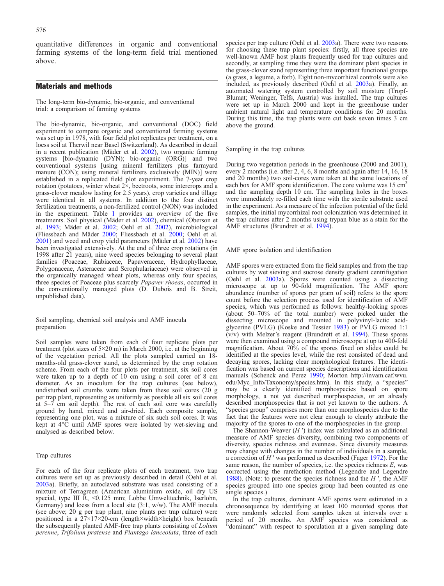quantitative differences in organic and conventional farming systems of the long-term field trial mentioned above.

#### Materials and methods

The long-term bio-dynamic, bio-organic, and conventional trial: a comparison of farming systems

The bio-dynamic, bio-organic, and conventional (DOC) field experiment to compare organic and conventional farming systems was set up in 1978, with four field plot replicates per treatment, on a loess soil at Therwil near Basel (Switzerland). As described in detail in a recent publication (Mäder et al. [2002](#page-10-0)), two organic farming systems [bio-dynamic (DYN); bio-organic (ORG)] and two conventional systems [using mineral fertilizers plus farmyard manure (CON); using mineral fertilizers exclusively (MIN)] were established in a replicated field plot experiment. The 7-year crop rotation (potatoes, winter wheat 2×, beetroots, some intercrops and a grass-clover meadow lasting for 2.5 years), crop varieties and tillage were identical in all systems. In addition to the four distinct fertilization treatments, a non-fertilized control (NON) was included in the experiment. Table 1 provides an overview of the five treatments. Soil physical (Mäder et al. [2002\)](#page-10-0), chemical (Oberson et al. [1993](#page-10-0); Mäder et al. [2002;](#page-10-0) Oehl et al. [2002](#page-10-0)), microbiological (Fliessbach and Mäder [2000](#page-9-0); Fliessbach et al. [2000;](#page-9-0) Oehl et al. [2001](#page-10-0)) and weed and crop yield parameters (Mäder et al. [2002\)](#page-10-0) have been investigated extensively. At the end of three crop rotations (in 1998 after 21 years), nine weed species belonging to several plant families (Poaceae, Rubiaceae, Papaveraceae, Hydrophyllaceae, Polygonaceae, Asteraceae and Scrophulariaceae) were observed in the organically managed wheat plots, whereas only four species, three species of Poaceae plus scarcely Papaver rhoeas, occurred in the conventionally managed plots (D. Dubois and B. Streit, unpublished data).

Soil sampling, chemical soil analysis and AMF inocula preparation

Soil samples were taken from each of four replicate plots per treatment (plot sizes of  $5\times20$  m) in March 2000, i.e. at the beginning of the vegetation period. All the plots sampled carried an 18 months-old grass-clover stand, as determined by the crop rotation scheme. From each of the four plots per treatment, six soil cores were taken up to a depth of 10 cm using a soil corer of 8 cm diameter. As an inoculum for the trap cultures (see below), undisturbed soil crumbs were taken from these soil cores (20 g per trap plant, representing as uniformly as possible all six soil cores at 5–7 cm soil depth). The rest of each soil core was carefully ground by hand, mixed and air-dried. Each composite sample, representing one plot, was a mixture of six such soil cores. It was kept at 4°C until AMF spores were isolated by wet-sieving and analysed as described below.

#### Trap cultures

For each of the four replicate plots of each treatment, two trap cultures were set up as previously described in detail (Oehl et al. [2003](#page-10-0)a). Briefly, an autoclaved substrate was used consisting of a mixture of Terragreen (American aluminium oxide, oil dry US special, type III R, <0.125 mm; Lobbe Umwelttechnik, Iserlohn, Germany) and loess from a local site (3:1, w/w). The AMF inocula (see above; 20 g per trap plant, nine plants per trap culture) were positioned in a 27×17×20-cm (length×width×height) box beneath the subsequently planted AMF-free trap plants consisting of Lolium perenne, Trifolium pratense and Plantago lanceolata, three of each

species per trap culture (Oehl et al. [2003a](#page-10-0)). There were two reasons for choosing these trap plant species: firstly, all three species are well-known AMF host plants frequently used for trap cultures and secondly, at sampling time they were the dominant plant species in the grass-clover stand representing three important functional groups (a grass, a legume, a forb). Eight non-mycorrhizal controls were also included, as previously described (Oehl et al. [2003](#page-10-0)a). Finally, an automated watering system controlled by soil moisture (Tropf-Blumat; Weninger, Telfs, Austria) was installed. The trap cultures were set up in March 2000 and kept in the greenhouse under ambient natural light and temperature conditions for 20 months. During this time, the trap plants were cut back seven times 3 cm above the ground.

Sampling in the trap cultures

During two vegetation periods in the greenhouse (2000 and 2001), every 2 months (i.e. after 2, 4, 6, 8 months and again after 14, 16, 18 and 20 months) two soil-cores were taken at the same locations of each box for AMF spore identification. The core volume was 15 cm<sup>3</sup> and the sampling depth 10 cm. The sampling holes in the boxes were immediately re-filled each time with the sterile substrate used in the experiment. As a measure of the infection potential of the field samples, the initial mycorrhizal root colonization was determined in the trap cultures after 2 months using trypan blue as a stain for the AMF structures (Brundrett et al. [1994\)](#page-9-0).

AMF spore isolation and identification

AMF spores were extracted from the field samples and from the trap cultures by wet sieving and sucrose density gradient centrifugation (Oehl et al. [2003](#page-10-0)a). Spores were counted using a dissecting microscope at up to 90-fold magnification. The AMF spore abundance (number of spores per gram of soil) refers to the spore count before the selection process used for identification of AMF species, which was performed as follows: healthy-looking spores (about 50–70% of the total number) were picked under the dissecting microscope and mounted in polyvinyl-lactic acidglycerine (PVLG) (Koske and Tessier [1983](#page-10-0)) or PVLG mixed 1:1  $(v/v)$  with Melzer's reagent (Brundrett et al. [1994](#page-9-0)). These spores were then examined using a compound microscope at up to 400-fold magnification. About 70% of the spores fixed on slides could be identified at the species level, while the rest consisted of dead and decaying spores, lacking clear morphological features. The identification was based on current species descriptions and identification manuals (Schenck and Perez [1990](#page-10-0); Morton http://invam.caf.wvu. edu/Myc\_Info/Taxonomy/species.htm). In this study, a "species" may be a clearly identified morphospecies based on spore morphology, a not yet described morphospecies, or an already described morphospecies that is not yet known to the authors. A "species group" comprises more than one morphospecies due to the fact that the features were not clear enough to clearly attribute the majority of the spores to one of the morphospecies in the group.

The Shannon-Weaver  $(H')$  index was calculated as an additional measure of AMF species diversity, combining two components of diversity, species richness and evenness. Since diversity measures may change with changes in the number of individuals in a sample, a correction of  $H'$  was performed as described (Fager [1972](#page-9-0)). For the same reason, the number of species, i.e. the species richness  $E$ , was corrected using the rarefaction method (Legendre and Legendre [1988](#page-10-0)). (Note: to present the species richness and the H ′, the AMF species grouped into one species group had been counted as one single species.)

In the trap cultures, dominant AMF spores were estimated in a chronosequence by identifying at least 100 mounted spores that were randomly selected from samples taken at intervals over a period of 20 months. An AMF species was considered as "dominant" with respect to sporulation at a given sampling date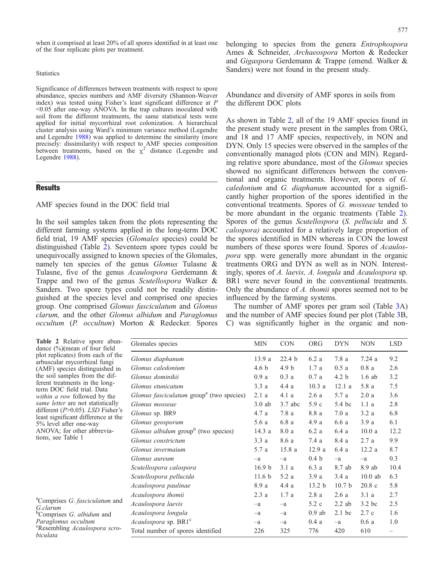when it comprised at least 20% of all spores identified in at least one of the four replicate plots per treatment.

#### **Statistics**

Significance of differences between treatments with respect to spore abundance, species numbers and AMF diversity (Shannon-Weaver index) was tested using Fisher's least significant difference at P <0.05 after one-way ANOVA. In the trap cultures inoculated with soil from the different treatments, the same statistical tests were applied for initial mycorrhizal root colonization. A hierarchical cluster analysis using Ward's minimum variance method (Legendre and Legendre [1988\)](#page-10-0) was applied to determine the similarity (more precisely: dissimilarity) with respect to AMF species composition between treatments, based on the  $\chi^2$  distance (Legendre and Legendre [1988\)](#page-10-0).

#### **Results**

AMF species found in the DOC field trial

In the soil samples taken from the plots representing the different farming systems applied in the long-term DOC field trial, 19 AMF species (Glomales species) could be distinguished (Table 2). Seventeen spore types could be unequivocally assigned to known species of the Glomales, namely ten species of the genus Glomus Tulasne & Tulasne, five of the genus Acaulospora Gerdemann & Trappe and two of the genus *Scutellospora* Walker & Sanders. Two spore types could not be readily distinguished at the species level and comprised one species group. One comprised Glomus fasciculatum and Glomus clarum, and the other Glomus albidum and Paraglomus occultum (P. occultum) Morton & Redecker. Spores belonging to species from the genera *Entrophospora* Ames & Schneider, Archaeospora Morton & Redecker and Gigaspora Gerdemann & Trappe (emend. Walker & Sanders) were not found in the present study.

Abundance and diversity of AMF spores in soils from the different DOC plots

As shown in Table 2, all of the 19 AMF species found in the present study were present in the samples from ORG, and 18 and 17 AMF species, respectively, in NON and DYN. Only 15 species were observed in the samples of the conventionally managed plots (CON and MIN). Regarding relative spore abundance, most of the Glomus species showed no significant differences between the conventional and organic treatments. However, spores of G. caledonium and G. diaphanum accounted for a significantly higher proportion of the spores identified in the conventional treatments. Spores of G. mosseae tended to be more abundant in the organic treatments (Table 2). Spores of the genus Scutellospora (S. pellucida and S. calospora) accounted for a relatively large proportion of the spores identified in MIN whereas in CON the lowest numbers of these spores were found. Spores of *Acaulos*pora spp. were generally more abundant in the organic treatments ORG and DYN as well as in NON. Interestingly, spores of A. laevis, A. longula and Acaulospora sp. BR1 were never found in the conventional treatments. Only the abundance of A. thomii spores seemed not to be influenced by the farming systems.

The number of AMF spores per gram soil (Table 3A) and the number of AMF species found per plot (Table 3B, C) was significantly higher in the organic and non-

Table 2 Relative spore abundance (%)(mean of four field plot replicates) from each of the arbuscular mycorrhizal fungi (AMF) species distinguished in the soil samples from the different treatments in the longterm DOC field trial. Data within a row followed by the same letter are not statistically different (P>0.05). LSD Fisher's least significant difference at the 5% level after one-way ANOVA; for other abbreviations, see Table 1

<sup>a</sup>Comprises G. fasciculatum and <sup>G</sup>.clarum <sup>b</sup>  $b$ Comprises G. albidum and Paraglomus occultum <sup>c</sup>Resembling Acaulospora scrobiculata

| Glomales species                                     | <b>MIN</b>        | <b>CON</b>        | <b>ORG</b>        | <b>DYN</b>        | <b>NON</b>      | <b>LSD</b> |
|------------------------------------------------------|-------------------|-------------------|-------------------|-------------------|-----------------|------------|
| Glomus diaphanum                                     | 13.9a             | 22.4 <sub>b</sub> | 6.2a              | 7.8 a             | 7.24a           | 9.2        |
| Glomus caledonium                                    | 4.6 <sub>b</sub>  | 4.9 <sub>b</sub>  | 1.7a              | 0.5a              | 0.8a            | 2.6        |
| Glomus dominikii                                     | 0.9a              | 0.3a              | 0.7a              | 4.2 <sub>b</sub>  | $1.6$ ab        | 3.2        |
| Glomus etunicatum                                    | 3.3a              | 4.4a              | 10.3a             | 12.1a             | 5.8 a           | 7.5        |
| Glomus fasciculatum group <sup>a</sup> (two species) | 2.1a              | 4.1 a             | 2.6a              | 5.7 a             | 2.0a            | 3.6        |
| Glomus mosseae                                       | $3.0$ ab          | $3.7$ abc         | 5.9c              | 5.4 bc            | 1.1a            | 2.8        |
| Glomus sp. BR9                                       | 4.7 a             | 7.8a              | 8.8 a             | 7.0a              | 3.2a            | 6.8        |
| Glomus geosporum                                     | 5.6a              | 6.8a              | 4.9a              | 6.6a              | 3.9a            | 6.1        |
| Glomus albidum group <sup>b</sup> (two species)      | 14.3a             | 8.0 a             | 6.2a              | 6.4a              | 10.0a           | 12.2       |
| Glomus constrictum                                   | 3.3a              | 8.6 a             | 7.4a              | 8.4 a             | 2.7a            | 9.9        |
| Glomus invermaium                                    | 5.7 a             | 15.8a             | 12.9a             | 6.4a              | 12.2a           | 8.7        |
| Glomus aureum                                        | $-a$              | $-a$              | 0.4 <sub>b</sub>  | $-a$              | $-a$            | 0.3        |
| Scutellospora calospora                              | 16.9 <sub>b</sub> | 3.1a              | 6.3a              | 8.7 ab            | 8.9 ab          | 10.4       |
| Scutellospora pellucida                              | 11.6 <sub>b</sub> | 5.2a              | 3.9a              | 3.4a              | $10.0$ ab       | 6.3        |
| Acaulospora paulinae                                 | 8.9 a             | 4.4a              | 13.2 <sub>b</sub> | 10.7 <sub>b</sub> | $20.8\text{ c}$ | 5.8        |
| Acaulospora thomii                                   | 2.3a              | 1.7a              | 2.8a              | 2.6a              | 3.1a            | 2.7        |
| Acaulospora laevis                                   | $-a$              | $-a$              | $5.2\text{ c}$    | $2.2$ ab          | $3.2$ bc        | 2.5        |
| Acaulospora longula                                  | $-a$              | $-a$              | $0.9$ ab          | $2.1$ bc          | 2.7c            | 1.6        |
| Acaulospora sp. BR1 <sup>c</sup>                     | $-a$              | $-a$              | 0.4a              | $-a$              | 0.6a            | 1.0        |
| Total number of spores identified                    | 226               | 325               | 776               | 420               | 610             |            |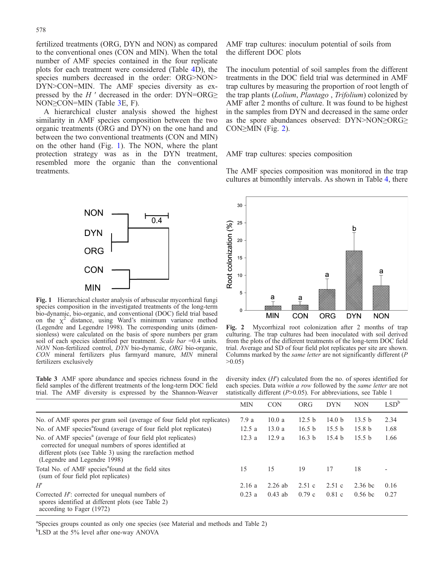fertilized treatments (ORG, DYN and NON) as compared to the conventional ones (CON and MIN). When the total number of AMF species contained in the four replicate plots for each treatment were considered (Table 4D), the species numbers decreased in the order: ORG>NON> DYN>CON=MIN. The AMF species diversity as expressed by the  $H'$  decreased in the order: DYN=ORG≥ NON≥CON=MIN (Table 3E, F).

A hierarchical cluster analysis showed the highest similarity in AMF species composition between the two organic treatments (ORG and DYN) on the one hand and between the two conventional treatments (CON and MIN) on the other hand (Fig. 1). The NON, where the plant protection strategy was as in the DYN treatment, resembled more the organic than the conventional treatments.



Fig. 1 Hierarchical cluster analysis of arbuscular mycorrhizal fungi species composition in the investigated treatments of the long-term bio-dynamic, bio-organic, and conventional (DOC) field trial based on the  $\chi^2$  distance, using Ward's minimum variance method (Legendre and Legendre 1998). The corresponding units (dimensionless) were calculated on the basis of spore numbers per gram soil of each species identified per treatment. Scale bar =0.4 units. NON Non-fertilized control, DYN bio-dynamic, ORG bio-organic, CON mineral fertilizers plus farmyard manure, MIN mineral fertilizers exclusively

Table 3 AMF spore abundance and species richness found in the field samples of the different treatments of the long-term DOC field trial. The AMF diversity is expressed by the Shannon-Weaver AMF trap cultures: inoculum potential of soils from the different DOC plots

The inoculum potential of soil samples from the different treatments in the DOC field trial was determined in AMF trap cultures by measuring the proportion of root length of the trap plants (Lolium, Plantago , Trifolium) colonized by AMF after 2 months of culture. It was found to be highest in the samples from DYN and decreased in the same order as the spore abundances observed: DYN>NON≥ORG≥ CON≥MIN (Fig. 2).

AMF trap cultures: species composition

The AMF species composition was monitored in the trap cultures at bimonthly intervals. As shown in Table 4, there



Fig. 2 Mycorrhizal root colonization after 2 months of trap culturing. The trap cultures had been inoculated with soil derived from the plots of the different treatments of the long-term DOC field trial. Average and SD of four field plot replicates per site are shown. Columns marked by the same letter are not significantly different (P  $>0.05$ )

diversity index  $(H')$  calculated from the no. of spores identified for each species. Data within a row followed by the same letter are not statistically different  $(P>0.05)$ . For abbreviations, see Table 1

|                                                                                                                                                                                                                                | <b>MIN</b> | <b>CON</b> | ORG               | <b>DYN</b>        | <b>NON</b>        | LSD <sup>b</sup> |
|--------------------------------------------------------------------------------------------------------------------------------------------------------------------------------------------------------------------------------|------------|------------|-------------------|-------------------|-------------------|------------------|
| No. of AMF spores per gram soil (average of four field plot replicates)                                                                                                                                                        | 7.9 a      | 10.0a      | 12.5 <sub>b</sub> | 14.0 <sub>b</sub> | 13.5 <sub>b</sub> | 2.34             |
| No. of AMF species <sup>a</sup> found (average of four field plot replicates)                                                                                                                                                  | 12.5a      | 13.0a      | 16.5 <sub>b</sub> | 15.5 b            | 15.8 <sub>b</sub> | 1.68             |
| No. of AMF species <sup>a</sup> (average of four field plot replicates)<br>corrected for unequal numbers of spores identified at<br>different plots (see Table 3) using the rarefaction method<br>(Legendre and Legendre 1998) | 12.3a      | 12.9a      | 16.3 <sub>b</sub> | 15.4 <sub>b</sub> | 15.5 b            | 1.66             |
| Total No. of AMF species <sup>a</sup> found at the field sites<br>(sum of four field plot replicates)                                                                                                                          | 15         | 15         | 19                | 17                | 18                |                  |
| H                                                                                                                                                                                                                              | 2.16a      | $2.26$ ab  | 2.51c             | 2.51c             | $2.36$ bc         | 0.16             |
| Corrected $H'$ : corrected for unequal numbers of<br>spores identified at different plots (see Table 2)<br>according to Fager (1972)                                                                                           | 0.23a      | $0.43$ ab  | 0.79c             | 0.81c             | $0.56$ bc         | 0.27             |

<sup>a</sup>Species groups counted as only one species (see Material and methods and Table 2)

<sup>b</sup>LSD at the 5% level after one-way ANOVA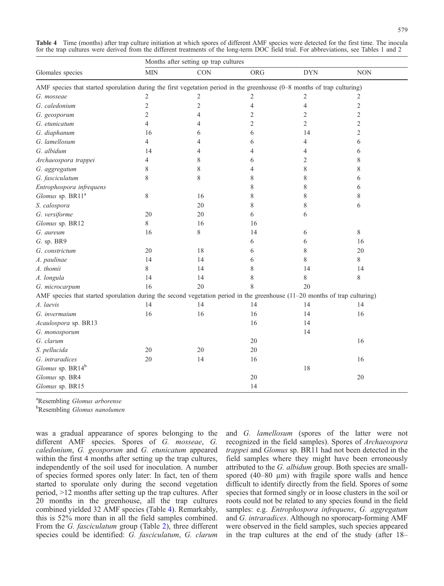Table 4 Time (months) after trap culture initiation at which spores of different AMF species were detected for the first time. The inocula for the trap cultures were derived from the different treatments of the long-term DOC field trial. For abbreviations, see Tables 1 and 2

|                                                                                                                             | Months after setting up trap cultures |                |                |                |                |  |  |  |  |
|-----------------------------------------------------------------------------------------------------------------------------|---------------------------------------|----------------|----------------|----------------|----------------|--|--|--|--|
| Glomales species                                                                                                            | <b>MIN</b>                            | <b>CON</b>     | <b>ORG</b>     | <b>DYN</b>     | <b>NON</b>     |  |  |  |  |
| AMF species that started sporulation during the first vegetation period in the greenhouse (0–8 months of trap culturing)    |                                       |                |                |                |                |  |  |  |  |
| G. mosseae                                                                                                                  | 2                                     | 2              | 2              | 2              | 2              |  |  |  |  |
| G. caledonium                                                                                                               | 2                                     | $\mathfrak{2}$ | $\overline{4}$ | 4              | 2              |  |  |  |  |
| G. geosporum                                                                                                                | 2                                     | $\overline{4}$ | $\mathfrak{2}$ | 2              | $\mathfrak{2}$ |  |  |  |  |
| G. etunicatum                                                                                                               | 4                                     | $\overline{4}$ | $\overline{c}$ | $\overline{2}$ | $\overline{2}$ |  |  |  |  |
| G. diaphanum                                                                                                                | 16                                    | 6              | 6              | 14             | $\overline{2}$ |  |  |  |  |
| G. lamellosum                                                                                                               | 4                                     | $\overline{4}$ | 6              | 4              | 6              |  |  |  |  |
| G. albidum                                                                                                                  | 14                                    | 4              | 4              | 4              | 6              |  |  |  |  |
| Archaeospora trappei                                                                                                        | 4                                     | 8              | 6              | 2              | 8              |  |  |  |  |
| G. aggregatum                                                                                                               | 8                                     | 8              | 4              | 8              | 8              |  |  |  |  |
| G. fasciculatum                                                                                                             | 8                                     | 8              | 8              | 8              | 6              |  |  |  |  |
| Entrophospora infrequens                                                                                                    |                                       |                | 8              | 8              | 6              |  |  |  |  |
| Glomus sp. BR11 <sup>a</sup>                                                                                                | 8                                     | 16             | 8              | 8              | 8              |  |  |  |  |
| S. calospora                                                                                                                |                                       | 20             | 8              | 8              | 6              |  |  |  |  |
| G. versiforme                                                                                                               | 20                                    | 20             | 6              | 6              |                |  |  |  |  |
| Glomus sp. BR12                                                                                                             | 8                                     | 16             | 16             |                |                |  |  |  |  |
| G. aureum                                                                                                                   | 16                                    | 8              | 14             | 6              | 8              |  |  |  |  |
| $G.$ sp. BR9                                                                                                                |                                       |                | 6              | 6              | 16             |  |  |  |  |
| G. constrictum                                                                                                              | 20                                    | 18             | 6              | 8              | 20             |  |  |  |  |
| A. paulinae                                                                                                                 | 14                                    | 14             | 6              | 8              | 8              |  |  |  |  |
| A. thomii                                                                                                                   | 8                                     | 14             | 8              | 14             | 14             |  |  |  |  |
| A. longula                                                                                                                  | 14                                    | 14             | 8              | 8              | $8\,$          |  |  |  |  |
| G. microcarpum                                                                                                              | 16                                    | 20             | 8              | 20             |                |  |  |  |  |
| AMF species that started sporulation during the second vegetation period in the greenhouse (11-20 months of trap culturing) |                                       |                |                |                |                |  |  |  |  |
| A. laevis                                                                                                                   | 14                                    | 14             | 14             | 14             | 14             |  |  |  |  |
| G. invermaium                                                                                                               | 16                                    | 16             | 16             | 14             | 16             |  |  |  |  |
| Acaulospora sp. BR13                                                                                                        |                                       |                | 16             | 14             |                |  |  |  |  |
| G. monosporum                                                                                                               |                                       |                |                | 14             |                |  |  |  |  |
| G. clarum                                                                                                                   |                                       |                | 20             |                | 16             |  |  |  |  |
| S. pellucida                                                                                                                | 20                                    | 20             | 20             |                |                |  |  |  |  |
| G. intraradices                                                                                                             | 20                                    | 14             | 16             |                | 16             |  |  |  |  |
| Glomus sp. BR14 <sup>b</sup>                                                                                                |                                       |                |                | 18             |                |  |  |  |  |
| Glomus sp. BR4                                                                                                              |                                       |                | 20             |                | $20\,$         |  |  |  |  |
| Glomus sp. BR15                                                                                                             |                                       |                | 14             |                |                |  |  |  |  |

<sup>a</sup>Resembling Glomus arborense

<sup>b</sup>Resembling Glomus nanolumen

was a gradual appearance of spores belonging to the different AMF species. Spores of G. mosseae, G. caledonium, G. geosporum and G. etunicatum appeared within the first 4 months after setting up the trap cultures, independently of the soil used for inoculation. A number of species formed spores only later: In fact, ten of them started to sporulate only during the second vegetation period, >12 months after setting up the trap cultures. After 20 months in the greenhouse, all the trap cultures combined yielded 32 AMF species (Table 4). Remarkably, this is 52% more than in all the field samples combined. From the *G. fasciculatum* group (Table 2), three different species could be identified: G. fasciculatum, G. clarum and G. lamellosum (spores of the latter were not recognized in the field samples). Spores of Archaeospora trappei and Glomus sp. BR11 had not been detected in the field samples where they might have been erroneously attributed to the G. albidum group. Both species are smallspored (40–80 µm) with fragile spore walls and hence difficult to identify directly from the field. Spores of some species that formed singly or in loose clusters in the soil or roots could not be related to any species found in the field samples: e.g. Entrophospora infrequens, G. aggregatum and G. intraradices. Although no sporocarp-forming AMF were observed in the field samples, such species appeared in the trap cultures at the end of the study (after 18–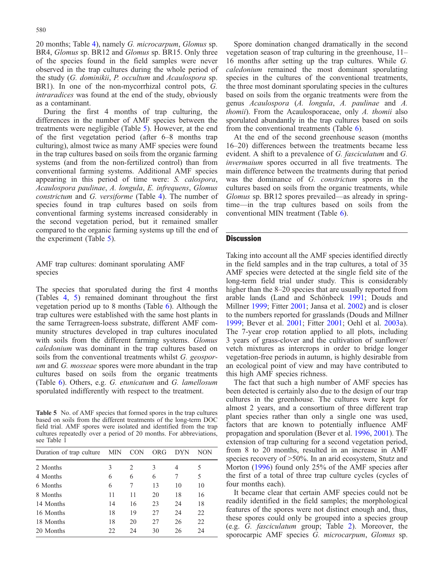20 months; Table 4), namely G. microcarpum, Glomus sp. BR4, Glomus sp. BR12 and Glomus sp. BR15. Only three of the species found in the field samples were never observed in the trap cultures during the whole period of the study (G. dominikii, P. occultum and Acaulospora sp. BR1). In one of the non-mycorrhizal control pots, G. intraradices was found at the end of the study, obviously as a contaminant.

During the first 4 months of trap culturing, the differences in the number of AMF species between the treatments were negligible (Table 5). However, at the end of the first vegetation period (after 6–8 months trap culturing), almost twice as many AMF species were found in the trap cultures based on soils from the organic farming systems (and from the non-fertilized control) than from conventional farming systems. Additional AMF species appearing in this period of time were: S. calospora, Acaulospora paulinae, A. longula, E. infrequens, Glomus constrictum and G. versiforme (Table 4). The number of species found in trap cultures based on soils from conventional farming systems increased considerably in the second vegetation period, but it remained smaller compared to the organic farming systems up till the end of the experiment (Table 5).

#### AMF trap cultures: dominant sporulating AMF species

The species that sporulated during the first 4 months (Tables 4, 5) remained dominant throughout the first vegetation period up to 8 months (Table 6). Although the trap cultures were established with the same host plants in the same Terragreen-loess substrate, different AMF community structures developed in trap cultures inoculated with soils from the different farming systems. Glomus caledonium was dominant in the trap cultures based on soils from the conventional treatments whilst G. geosporum and G. mosseae spores were more abundant in the trap cultures based on soils from the organic treatments (Table 6). Others, e.g. G. etunicatum and G. lamellosum sporulated indifferently with respect to the treatment.

Table 5 No. of AMF species that formed spores in the trap cultures based on soils from the different treatments of the long-term DOC field trial. AMF spores were isolated and identified from the trap cultures repeatedly over a period of 20 months. For abbreviations, see Table 1

| Duration of trap culture | MIN | CON | ORG | <b>DYN</b> | NON |
|--------------------------|-----|-----|-----|------------|-----|
| 2 Months                 | 3   | 2   | 3   | 4          | 5   |
| 4 Months                 | 6   | 6   | 6   | 7          | 5   |
| 6 Months                 | 6   | 7   | 13  | 10         | 10  |
| 8 Months                 | 11  | 11  | 20  | 18         | 16  |
| 14 Months                | 14  | 16  | 23  | 24         | 18  |
| 16 Months                | 18  | 19  | 27  | 24         | 22  |
| 18 Months                | 18  | 20  | 27  | 26         | 22  |
| 20 Months                | 22  | 24  | 30  | 26         | 24  |

Spore domination changed dramatically in the second vegetation season of trap culturing in the greenhouse, 11– 16 months after setting up the trap cultures. While G. caledonium remained the most dominant sporulating species in the cultures of the conventional treatments, the three most dominant sporulating species in the cultures based on soils from the organic treatments were from the genus Acaulospora (A. longula, A. paulinae and A. thomii). From the Acaulosporaceae, only A. thomii also sporulated abundantly in the trap cultures based on soils from the conventional treatments (Table 6).

At the end of the second greenhouse season (months 16–20) differences between the treatments became less evident. A shift to a prevalence of G. fasciculatum and G. invermaium spores occurred in all five treatments. The main difference between the treatments during that period was the dominance of G. constrictum spores in the cultures based on soils from the organic treatments, while Glomus sp. BR12 spores prevailed—as already in springtime—in the trap cultures based on soils from the conventional MIN treatment (Table 6).

#### **Discussion**

Taking into account all the AMF species identified directly in the field samples and in the trap cultures, a total of 35 AMF species were detected at the single field site of the long-term field trial under study. This is considerably higher than the 8–20 species that are usually reported from arable lands (Land and Schönbeck [1991](#page-10-0); Douds and Millner [1999](#page-9-0); Fitter [2001;](#page-9-0) Jansa et al. [2002](#page-10-0)) and is closer to the numbers reported for grasslands (Douds and Millner [1999](#page-9-0); Bever et al. [2001;](#page-9-0) Fitter [2001;](#page-9-0) Oehl et al. [2003a](#page-10-0)). The 7-year crop rotation applied to all plots, including 3 years of grass-clover and the cultivation of sunflower/ vetch mixtures as intercrops in order to bridge longer vegetation-free periods in autumn, is highly desirable from an ecological point of view and may have contributed to this high AMF species richness.

The fact that such a high number of AMF species has been detected is certainly also due to the design of our trap cultures in the greenhouse. The cultures were kept for almost 2 years, and a consortium of three different trap plant species rather than only a single one was used, factors that are known to potentially influence AMF propagation and sporulation (Bever et al. [1996](#page-9-0), [2001](#page-9-0)). The extension of trap culturing for a second vegetation period, from 8 to 20 months, resulted in an increase in AMF species recovery of >50%. In an arid ecosystem, Stutz and Morton [\(1996](#page-10-0)) found only 25% of the AMF species after the first of a total of three trap culture cycles (cycles of four months each).

It became clear that certain AMF species could not be readily identified in the field samples; the morphological features of the spores were not distinct enough and, thus, these spores could only be grouped into a species group (e.g. G. fasciculatum group; Table 2). Moreover, the sporocarpic AMF species G. microcarpum, Glomus sp.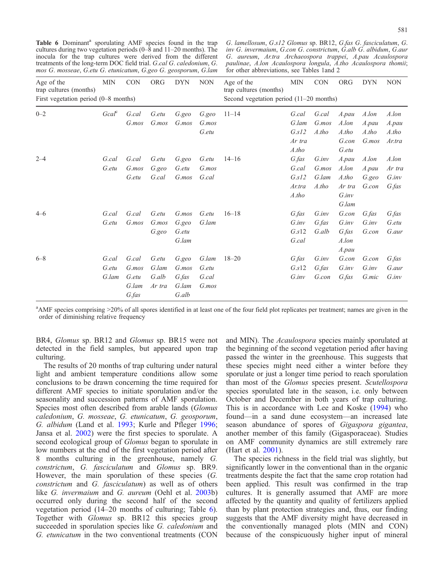Table 6 Dominant<sup>a</sup> sporulating AMF species found in the trap cultures during two vegetation periods (0–8 and 11–20 months). The inocula for the trap cultures were derived from the different treatments of the long-term DOC field trial. G.cal G. caledonium, G. mos G. mosseae, G.etu G. etunicatum, G.geo G. geosporum, G.lam

G. lamellosum, G.s12 Glomus sp. BR12, G.fas G. fasciculatum, G. inv G. invermaium, G.con G. constrictum, G.alb G. albidum, G.aur G. aureum, Ar.tra Archaeospora trappei, A.pau Acaulospora paulinae, A.lon Acaulospora longula, A.tho Acaulospora thomii; for other abbreviations, see Tables 1and 2

| <b>MIN</b><br><b>CON</b><br><b>ORG</b><br>Age of the<br>trap cultures (months)<br>First vegetation period $(0-8$ months) |          |                | <b>DYN</b>     | <b>NON</b>     | Age of the<br>trap cultures (months)<br>Second vegetation period $(11-20$ months) | <b>DYN</b> | <b>NON</b>     |                |                |                |                |
|--------------------------------------------------------------------------------------------------------------------------|----------|----------------|----------------|----------------|-----------------------------------------------------------------------------------|------------|----------------|----------------|----------------|----------------|----------------|
| $0 - 2$                                                                                                                  | $Gcal^c$ | G.cal          | G.etu          | G.geo          | G.geo                                                                             | $11 - 14$  | G.cal          | G.cal          | $A$ .pau       | A.lon          | A.lon          |
|                                                                                                                          |          | G.mos          | $G$ <i>mos</i> | $G$ <i>mos</i> | $G$ <i>mos</i>                                                                    |            | G.lam          | $G$ <i>mos</i> | A.lon          | A.pau          | A.pau          |
|                                                                                                                          |          |                |                |                | G.etu                                                                             |            | G.s12          | A.tho          | A.tho          | $A,$ tho       | A.tho          |
|                                                                                                                          |          |                |                |                |                                                                                   |            | Ar tra         |                | G.con          | $G$ <i>mos</i> | Ar.tra         |
|                                                                                                                          |          |                |                |                |                                                                                   |            | A.tho          |                | G.etu          |                |                |
| $2 - 4$                                                                                                                  | G.cal    | G.cal          | G.etu          | G.geo          | G.etu                                                                             | $14 - 16$  | $G$ <i>fas</i> | G.inv          | $A$ .pau       | A.lon          | A.lon          |
|                                                                                                                          | G.etu    | G.mos          | G.geo          | G.etu          | G.mos                                                                             |            | G.cal          | G.mos          | A.lon          | $A$ .pau       | Ar tra         |
|                                                                                                                          |          | G.etu          | G.cal          | $G$ <i>mos</i> | G.cal                                                                             |            | G.SI2          | G.lam          | A.tho          | G.geo          | G.inv          |
|                                                                                                                          |          |                |                |                |                                                                                   |            | Ar.tra         | $A,$ tho       | Ar tra         | G.con          | $G$ <i>fas</i> |
|                                                                                                                          |          |                |                |                |                                                                                   |            | A.tho          |                | G.inv          |                |                |
|                                                                                                                          |          |                |                |                |                                                                                   |            |                |                | G.lam          |                |                |
| $4 - 6$                                                                                                                  | G.cal    | G.cal          | G.etu          | $G$ <i>mos</i> | G.etu                                                                             | $16 - 18$  | $G$ <i>fas</i> | G.inv          | G.con          | G.fas          | G.fas          |
|                                                                                                                          | G.etu    | $G$ <i>mos</i> | G.mos          | G.geo          | G.lam                                                                             |            | G.inv          | G.fas          | G.inv          | G.inv          | G.etu          |
|                                                                                                                          |          |                | G.geo          | G.etu          |                                                                                   |            | G.s12          | G.alb          | $G$ <i>fas</i> | G.con          | G.aur          |
|                                                                                                                          |          |                |                | G.lam          |                                                                                   |            | G.cal          |                | A.lon          |                |                |
|                                                                                                                          |          |                |                |                |                                                                                   |            |                |                | A.pau          |                |                |
| $6 - 8$                                                                                                                  | G.cal    | G.cal          | G.etu          | G.geo          | G.lam                                                                             | $18 - 20$  | G.fas          | G.inv          | G.con          | G.con          | G.fas          |
|                                                                                                                          | G.etu    | $G$ <i>mos</i> | G.lam          | $G$ <i>mos</i> | G.etu                                                                             |            | G.s12          | $G$ <i>fas</i> | G.inv          | G.inv          | G.aur          |
|                                                                                                                          | G.lam    | G.etu          | G.alb          | G.fas          | G.cal                                                                             |            | G.inv          | G.con          | G.fas          | G.mic          | G.inv          |
|                                                                                                                          |          | G.lam          | Ar tra         | G.lam          | $G$ <i>mos</i>                                                                    |            |                |                |                |                |                |
|                                                                                                                          |          | $G$ <i>fas</i> |                | G.alb          |                                                                                   |            |                |                |                |                |                |

<sup>a</sup>AMF species comprising >20% of all spores identified in at least one of the four field plot replicates per treatment; names are given in the order of diminishing relative frequency

BR4, Glomus sp. BR12 and Glomus sp. BR15 were not detected in the field samples, but appeared upon trap culturing.

The results of 20 months of trap culturing under natural light and ambient temperature conditions allow some conclusions to be drawn concerning the time required for different AMF species to initiate sporulation and/or the seasonality and succession patterns of AMF sporulation. Species most often described from arable lands (Glomus caledonium, G. mosseae, G. etunicatum, G. geosporum, G. albidum (Land et al. [1993;](#page-10-0) Kurle and Pfleger [1996](#page-10-0); Jansa et al. [2002](#page-10-0)) were the first species to sporulate. A second ecological group of *Glomus* began to sporulate in low numbers at the end of the first vegetation period after 8 months culturing in the greenhouse, namely G. constrictum, G. fasciculatum and Glomus sp. BR9. However, the main sporulation of these species (G. constrictum and G. fasciculatum) as well as of others like G. invermaium and G. aureum (Oehl et al. [2003](#page-10-0)b) occurred only during the second half of the second vegetation period (14–20 months of culturing; Table 6). Together with Glomus sp. BR12 this species group succeeded in sporulation species like G. *caledonium* and G. etunicatum in the two conventional treatments (CON

and MIN). The Acaulospora species mainly sporulated at the beginning of the second vegetation period after having passed the winter in the greenhouse. This suggests that these species might need either a winter before they sporulate or just a longer time period to reach sporulation than most of the Glomus species present. Scutellospora species sporulated late in the season, i.e. only between October and December in both years of trap culturing. This is in accordance with Lee and Koske [\(1994](#page-10-0)) who found—in a sand dune ecosystem—an increased late season abundance of spores of Gigaspora gigantea, another member of this family (Gigasporaceae). Studies on AMF community dynamics are still extremely rare (Hart et al. [2001\)](#page-10-0).

The species richness in the field trial was slightly, but significantly lower in the conventional than in the organic treatments despite the fact that the same crop rotation had been applied. This result was confirmed in the trap cultures. It is generally assumed that AMF are more affected by the quantity and quality of fertilizers applied than by plant protection strategies and, thus, our finding suggests that the AMF diversity might have decreased in the conventionally managed plots (MIN and CON) because of the conspicuously higher input of mineral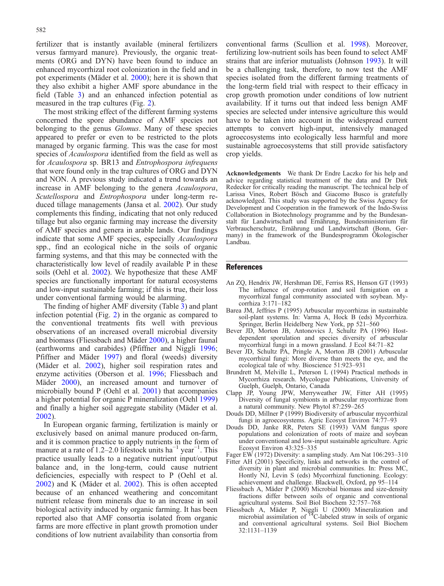<span id="page-9-0"></span>fertilizer that is instantly available (mineral fertilizers versus farmyard manure). Previously, the organic treatments (ORG and DYN) have been found to induce an enhanced mycorrhizal root colonization in the field and in pot experiments (Mäder et al. [2000\)](#page-10-0); here it is shown that they also exhibit a higher AMF spore abundance in the field (Table 3) and an enhanced infection potential as measured in the trap cultures (Fig. 2).

The most striking effect of the different farming systems concerned the spore abundance of AMF species not belonging to the genus *Glomus*. Many of these species appeared to prefer or even to be restricted to the plots managed by organic farming. This was the case for most species of *Acaulospora* identified from the field as well as for Acaulospora sp. BR13 and Entrophospora infrequens that were found only in the trap cultures of ORG and DYN and NON. A previous study indicated a trend towards an increase in AMF belonging to the genera Acaulospora, Scutellospora and *Entrophospora* under long-term reduced tillage managements (Jansa et al. [2002](#page-10-0)). Our study complements this finding, indicating that not only reduced tillage but also organic farming may increase the diversity of AMF species and genera in arable lands. Our findings indicate that some AMF species, especially Acaulospora spp., find an ecological niche in the soils of organic farming systems, and that this may be connected with the characteristically low level of readily available P in these soils (Oehl et al. [2002](#page-10-0)). We hypothesize that these AMF species are functionally important for natural ecosystems and low-input sustainable farming; if this is true, their loss under conventional farming would be alarming.

The finding of higher AMF diversity (Table 3) and plant infection potential (Fig. 2) in the organic as compared to the conventional treatments fits well with previous observations of an increased overall microbial diversity and biomass (Fliessbach and Mäder 2000), a higher faunal (earthworms and carabides) (Pfiffner and Niggli [1996](#page-10-0); Pfiffner and Mäder [1997\)](#page-10-0) and floral (weeds) diversity (Mäder et al. [2002](#page-10-0)), higher soil respiration rates and enzyme activities (Oberson et al. [1996](#page-10-0); Fliessbach and Mäder 2000), an increased amount and turnover of microbially bound P (Oehl et al. [2001](#page-10-0)) that accompanies a higher potential for organic P mineralization (Oehl [1999\)](#page-10-0) and finally a higher soil aggregate stability (Mäder et al. [2002](#page-10-0)).

In European organic farming, fertilization is mainly or exclusively based on animal manure produced on-farm, and it is common practice to apply nutrients in the form of manure at a rate of 1.2–2.0 lifestock units  $ha^{-1}$  year<sup>-1</sup>. This practice usually leads to a negative nutrient input/output balance and, in the long-term, could cause nutrient deficiencies, especially with respect to P (Oehl et al. [2002](#page-10-0)) and K (Mäder et al. [2002](#page-10-0)). This is often accepted because of an enhanced weathering and concomitant nutrient release from minerals due to an increase in soil biological activity induced by organic farming. It has been reported also that AMF consortia isolated from organic farms are more effective in plant growth promotion under conditions of low nutrient availability than consortia from

conventional farms (Scullion et al. [1998](#page-10-0)). Moreover, fertilizing low-nutrient soils has been found to select AMF strains that are inferior mutualists (Johnson [1993\)](#page-10-0). It will be a challenging task, therefore, to now test the AMF species isolated from the different farming treatments of the long-term field trial with respect to their efficacy in crop growth promotion under conditions of low nutrient availability. If it turns out that indeed less benign AMF species are selected under intensive agriculture this would have to be taken into account in the widespread current attempts to convert high-input, intensively managed agroecosystems into ecologically less harmful and more sustainable agroecosystems that still provide satisfactory crop yields.

Acknowledgements We thank Dr Endre Laczko for his help and advice regarding statistical treatment of the data and Dr Dirk Redecker for critically reading the manuscript. The technical help of Larissa Vines, Robert Bösch and Giacomo Busco is gratefully acknowledged. This study was supported by the Swiss Agency for Development and Cooperation in the framework of the Indo-Swiss Collaboration in Biotechnology programme and by the Bundesanstalt für Landwirtschaft und Ernährung, Bundesministerium für Verbraucherschutz, Ernährung und Landwirtschaft (Bonn, Germany) in the framework of the Bundesprogramm Ökologischer Landbau.

#### References

- An ZQ, Hendrix JW, Hershman DE, Ferriss RS, Henson GT (1993) The influence of crop-rotation and soil fumigation on a mycorrhizal fungal community associated with soybean. Mycorrhiza 3:171–182
- Barea JM, Jeffries P (1995) Arbuscular mycorrhizas in sustainable soil-plant systems. In: Varma A, Hock B (eds) Mycorrhiza. Springer, Berlin Heidelberg New York, pp 521–560
- Bever JD, Morton JB, Antonovics J, Schultz PA (1996) Hostdependent sporulation and species diversity of arbuscular mycorrhizal fungi in a mown grassland. J Ecol 84:71–82
- Bever JD, Schultz PA, Pringle A, Morton JB (2001) Arbuscular mycorrhizal fungi: More diverse than meets the eye, and the ecological tale of why. Bioscience 51:923–931
- Brundrett M, Melville L, Peterson L (1994) Practical methods in Mycorrhiza research. Mycologue Publications, University of Guelph, Guelph, Ontario, Canada
- Clapp JP, Young JPW, Merryweather JW, Fitter AH (1995) Diversity of fungal symbionts in arbuscular mycorrhizae from a natural community. New Phytol 87:259–265
- Douds DD, Millner P (1999) Biodiversity of arbuscular mycorrhizal fungi in agroecosystems. Agric Ecosyst Environ 74:77–93
- Douds DD, Janke RR, Peters SE (1993) VAM fungus spore populations and colonization of roots of maize and soybean under conventional and low-input sustainable agriculture. Agric Ecosyst Environ 43:325–335
- Fager EW (1972) Diversity: a sampling study. Am Nat 106:293–310
- Fitter AH (2001) Specificity, links and networks in the control of diversity in plant and microbial communities. In: Press MC, Hontly NJ, Levin S (eds) Mycorrhizal functioning. Ecology: achievement and challenge. Blackwell, Oxford, pp 95–114
- Fliessbach A, Mäder P (2000) Microbial biomass and size-density fractions differ between soils of organic and conventional agricultural systems. Soil Biol Biochem 32:757–768
- Fliessbach A, Mäder P, Niggli U (2000) Mineralization and microbial assimilation of  $^{14}$ C-labeled straw in soils of organic and conventional agricultural systems. Soil Biol Biochem 32:1131–1139